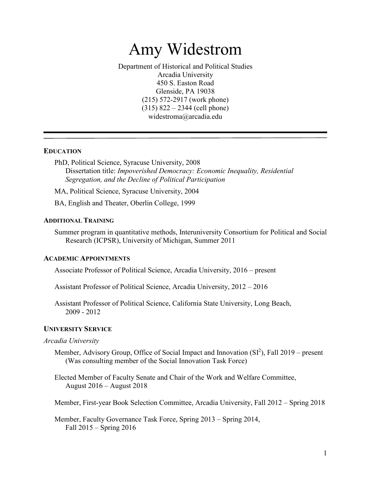# Amy Widestrom

Department of Historical and Political Studies Arcadia University 450 S. Easton Road Glenside, PA 19038 (215) 572-2917 (work phone) (315) 822 – 2344 (cell phone) widestroma@arcadia.edu

### **EDUCATION**

PhD, Political Science, Syracuse University, 2008 Dissertation title: *Impoverished Democracy: Economic Inequality, Residential Segregation, and the Decline of Political Participation*

MA, Political Science, Syracuse University, 2004

BA, English and Theater, Oberlin College, 1999

#### **ADDITIONAL TRAINING**

Summer program in quantitative methods, Interuniversity Consortium for Political and Social Research (ICPSR), University of Michigan, Summer 2011

#### **ACADEMIC APPOINTMENTS**

Associate Professor of Political Science, Arcadia University, 2016 – present

Assistant Professor of Political Science, Arcadia University, 2012 – 2016

Assistant Professor of Political Science, California State University, Long Beach, 2009 - 2012

### **UNIVERSITY SERVICE**

#### *Arcadia University*

Member, Advisory Group, Office of Social Impact and Innovation  $(SI<sup>2</sup>)$ , Fall 2019 – present (Was consulting member of the Social Innovation Task Force)

Elected Member of Faculty Senate and Chair of the Work and Welfare Committee, August 2016 – August 2018

Member, First-year Book Selection Committee, Arcadia University, Fall 2012 – Spring 2018

Member, Faculty Governance Task Force, Spring 2013 – Spring 2014, Fall 2015 – Spring 2016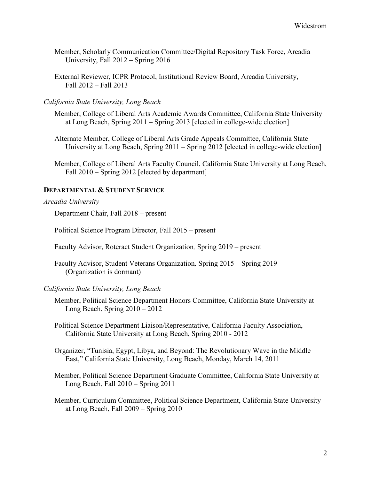- Member, Scholarly Communication Committee/Digital Repository Task Force, Arcadia University, Fall 2012 – Spring 2016
- External Reviewer, ICPR Protocol, Institutional Review Board, Arcadia University, Fall 2012 – Fall 2013

## *California State University, Long Beach*

Member, College of Liberal Arts Academic Awards Committee, California State University at Long Beach, Spring 2011 – Spring 2013 [elected in college-wide election]

Alternate Member, College of Liberal Arts Grade Appeals Committee, California State University at Long Beach, Spring 2011 – Spring 2012 [elected in college-wide election]

Member, College of Liberal Arts Faculty Council, California State University at Long Beach, Fall 2010 – Spring 2012 [elected by department]

# **DEPARTMENTAL & STUDENT SERVICE**

#### *Arcadia University*

Department Chair, Fall 2018 – present

Political Science Program Director, Fall 2015 – present

Faculty Advisor, Roteract Student Organization*,* Spring 2019 – present

Faculty Advisor, Student Veterans Organization*,* Spring 2015 – Spring 2019 (Organization is dormant)

### *California State University, Long Beach*

Member, Political Science Department Honors Committee, California State University at Long Beach, Spring 2010 – 2012

Political Science Department Liaison/Representative, California Faculty Association, California State University at Long Beach, Spring 2010 - 2012

Organizer, "Tunisia, Egypt, Libya, and Beyond: The Revolutionary Wave in the Middle East," California State University, Long Beach, Monday, March 14, 2011

Member, Political Science Department Graduate Committee, California State University at Long Beach, Fall 2010 – Spring 2011

Member, Curriculum Committee, Political Science Department, California State University at Long Beach, Fall 2009 – Spring 2010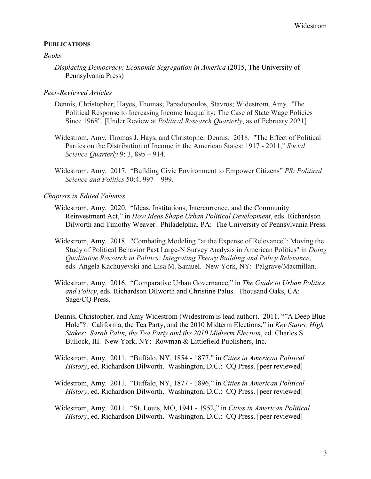## **PUBLICATIONS**

#### *Books*

*Displacing Democracy: Economic Segregation in America* (2015, The University of Pennsylvania Press)

### *Peer-Reviewed Articles*

- Dennis, Christopher; Hayes, Thomas; Papadopoulos, Stavros; Widestrom, Amy. "The Political Response to Increasing Income Inequality: The Case of State Wage Policies Since 1968". [Under Review at *Political Research Quarterly*, as of February 2021]
- Widestrom, Amy, Thomas J. Hays, and Christopher Dennis. 2018. "The Effect of Political Parties on the Distribution of Income in the American States: 1917 - 2011," *Social Science Quarterly* 9: 3, 895 – 914.
- Widestrom, Amy. 2017. "Building Civic Environment to Empower Citizens" *PS: Political Science and Politics* 50:4, 997 – 999.

## *Chapters in Edited Volumes*

- Widestrom, Amy. 2020. "Ideas, Institutions, Intercurrence, and the Community Reinvestment Act," in *How Ideas Shape Urban Political Development*, eds. Richardson Dilworth and Timothy Weaver. Philadelphia, PA: The University of Pennsylvania Press.
- Widestrom, Amy. 2018. "Combating Modeling "at the Expense of Relevance": Moving the Study of Political Behavior Past Large-N Survey Analysis in American Politics" in *Doing Qualitative Research in Politics: Integrating Theory Building and Policy Relevance*, eds. Angela Kachuyevski and Lisa M. Samuel. New York, NY: Palgrave/Macmillan.
- Widestrom, Amy. 2016. "Comparative Urban Governance," in *The Guide to Urban Politics and Policy*, eds. Richardson Dilworth and Christine Palus. Thousand Oaks, CA: Sage/CQ Press.
- Dennis, Christopher, and Amy Widestrom (Widestrom is lead author). 2011. ""A Deep Blue Hole"?: California, the Tea Party, and the 2010 Midterm Elections," in *Key States, High Stakes: Sarah Palin, the Tea Party and the 2010 Midterm Election*, ed. Charles S. Bullock, III. New York, NY: Rowman & Littlefield Publishers, Inc.
- Widestrom, Amy. 2011. "Buffalo, NY, 1854 1877," in *Cities in American Political History*, ed. Richardson Dilworth. Washington, D.C.: CQ Press. [peer reviewed]
- Widestrom, Amy. 2011. "Buffalo, NY, 1877 1896," in *Cities in American Political History*, ed. Richardson Dilworth. Washington, D.C.: CQ Press. [peer reviewed]
- Widestrom, Amy. 2011. "St. Louis, MO, 1941 1952," in *Cities in American Political History*, ed. Richardson Dilworth. Washington, D.C.: CQ Press. [peer reviewed]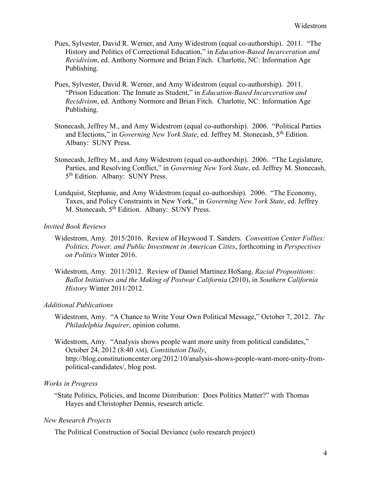- Pues, Sylvester, David R. Werner, and Amy Widestrom (equal co-authorship). 2011. "The History and Politics of Correctional Education," in *Education-Based Incarceration and Recidivism*, ed. Anthony Normore and Brian Fitch. Charlotte, NC: Information Age Publishing.
- Pues, Sylvester, David R. Werner, and Amy Widestrom (equal co-authorship). 2011. "Prison Education: The Inmate as Student," in *Education-Based Incarceration and Recidivism*, ed. Anthony Normore and Brian Fitch. Charlotte, NC: Information Age Publishing.
- Stonecash, Jeffrey M., and Amy Widestrom (equal co-authorship). 2006. "Political Parties and Elections," in *Governing New York State*, ed. Jeffrey M. Stonecash, 5<sup>th</sup> Edition. Albany: SUNY Press.
- Stonecash, Jeffrey M., and Amy Widestrom (equal co-authorship). 2006. "The Legislature, Parties, and Resolving Conflict," in *Governing New York State*, ed. Jeffrey M. Stonecash, 5<sup>th</sup> Edition. Albany: SUNY Press.
- Lundquist, Stephanie, and Amy Widestrom (equal co-authorship). 2006. "The Economy, Taxes, and Policy Constraints in New York," in *Governing New York State*, ed. Jeffrey M. Stonecash, 5<sup>th</sup> Edition. Albany: SUNY Press.

# *Invited Book Reviews*

- Widestrom, Amy. 2015/2016. Review of Heywood T. Sanders. *Convention Center Follies: Politics, Power, and Public Investment in American Cities*, forthcoming in *Perspectives on Politics* Winter 2016.
- Widestrom, Amy. 2011/2012. Review of Daniel Martinez HoSang. *Racial Propositions: Ballot Initiatives and the Making of Postwar California* (2010), in *Southern California History* Winter 2011/2012.

# *Additional Publications*

- Widestrom, Amy. "A Chance to Write Your Own Political Message," October 7, 2012. *The Philadelphia Inquirer*, opinion column.
- Widestrom, Amy. "Analysis shows people want more unity from political candidates," October 24, 2012 (8:40 AM), *Constitution Daily*, http://blog.constitutioncenter.org/2012/10/analysis-shows-people-want-more-unity-frompolitical-candidates/, blog post.

# *Works in Progress*

"State Politics, Policies, and Income Distribution: Does Politics Matter?" with Thomas Hayes and Christopher Dennis, research article.

# *New Research Projects*

The Political Construction of Social Deviance (solo research project)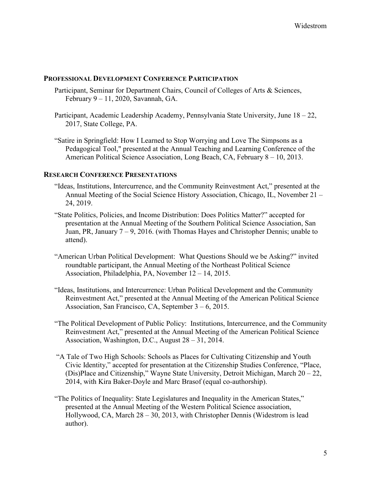## **PROFESSIONAL DEVELOPMENT CONFERENCE PARTICIPATION**

- Participant, Seminar for Department Chairs, Council of Colleges of Arts & Sciences, February 9 – 11, 2020, Savannah, GA.
- Participant, Academic Leadership Academy, Pennsylvania State University, June 18 22, 2017, State College, PA.
- "Satire in Springfield: How I Learned to Stop Worrying and Love The Simpsons as a Pedagogical Tool," presented at the Annual Teaching and Learning Conference of the American Political Science Association, Long Beach, CA, February 8 – 10, 2013.

# **RESEARCH CONFERENCE PRESENTATIONS**

- "Ideas, Institutions, Intercurrence, and the Community Reinvestment Act," presented at the Annual Meeting of the Social Science History Association, Chicago, IL, November 21 – 24, 2019.
- "State Politics, Policies, and Income Distribution: Does Politics Matter?" accepted for presentation at the Annual Meeting of the Southern Political Science Association, San Juan, PR, January 7 – 9, 2016. (with Thomas Hayes and Christopher Dennis; unable to attend).
- "American Urban Political Development: What Questions Should we be Asking?" invited roundtable participant, the Annual Meeting of the Northeast Political Science Association, Philadelphia, PA, November 12 – 14, 2015.
- "Ideas, Institutions, and Intercurrence: Urban Political Development and the Community Reinvestment Act," presented at the Annual Meeting of the American Political Science Association, San Francisco, CA, September 3 – 6, 2015.
- "The Political Development of Public Policy: Institutions, Intercurrence, and the Community Reinvestment Act," presented at the Annual Meeting of the American Political Science Association, Washington, D.C., August 28 – 31, 2014.
- "A Tale of Two High Schools: Schools as Places for Cultivating Citizenship and Youth Civic Identity," accepted for presentation at the Citizenship Studies Conference, "Place, (Dis)Place and Citizenship," Wayne State University, Detroit Michigan, March 20 – 22, 2014, with Kira Baker-Doyle and Marc Brasof (equal co-authorship).
- "The Politics of Inequality: State Legislatures and Inequality in the American States," presented at the Annual Meeting of the Western Political Science association, Hollywood, CA, March 28 – 30, 2013, with Christopher Dennis (Widestrom is lead author).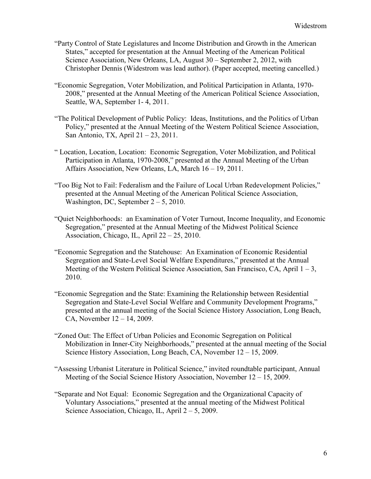- "Party Control of State Legislatures and Income Distribution and Growth in the American States," accepted for presentation at the Annual Meeting of the American Political Science Association, New Orleans, LA, August 30 – September 2, 2012, with Christopher Dennis (Widestrom was lead author). (Paper accepted, meeting cancelled.)
- "Economic Segregation, Voter Mobilization, and Political Participation in Atlanta, 1970- 2008," presented at the Annual Meeting of the American Political Science Association, Seattle, WA, September 1- 4, 2011.
- "The Political Development of Public Policy: Ideas, Institutions, and the Politics of Urban Policy," presented at the Annual Meeting of the Western Political Science Association, San Antonio, TX, April 21 – 23, 2011.
- " Location, Location, Location: Economic Segregation, Voter Mobilization, and Political Participation in Atlanta, 1970-2008," presented at the Annual Meeting of the Urban Affairs Association, New Orleans, LA, March 16 – 19, 2011.
- "Too Big Not to Fail: Federalism and the Failure of Local Urban Redevelopment Policies," presented at the Annual Meeting of the American Political Science Association, Washington, DC, September  $2 - 5$ , 2010.
- "Quiet Neighborhoods: an Examination of Voter Turnout, Income Inequality, and Economic Segregation," presented at the Annual Meeting of the Midwest Political Science Association, Chicago, IL, April 22 – 25, 2010.
- "Economic Segregation and the Statehouse: An Examination of Economic Residential Segregation and State-Level Social Welfare Expenditures," presented at the Annual Meeting of the Western Political Science Association, San Francisco, CA, April  $1 - 3$ , 2010.
- "Economic Segregation and the State: Examining the Relationship between Residential Segregation and State-Level Social Welfare and Community Development Programs," presented at the annual meeting of the Social Science History Association, Long Beach, CA, November 12 – 14, 2009.
- "Zoned Out: The Effect of Urban Policies and Economic Segregation on Political Mobilization in Inner-City Neighborhoods," presented at the annual meeting of the Social Science History Association, Long Beach, CA, November 12 – 15, 2009.
- "Assessing Urbanist Literature in Political Science," invited roundtable participant, Annual Meeting of the Social Science History Association, November 12 – 15, 2009.
- "Separate and Not Equal: Economic Segregation and the Organizational Capacity of Voluntary Associations," presented at the annual meeting of the Midwest Political Science Association, Chicago, IL, April  $2 - 5$ , 2009.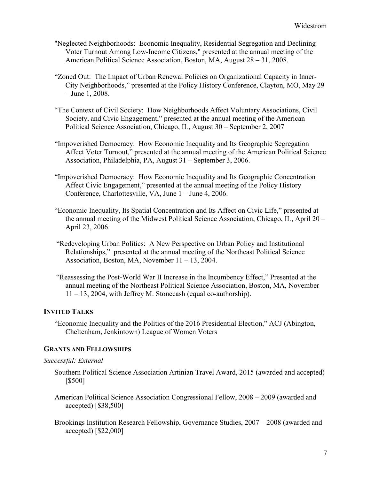- "Neglected Neighborhoods: Economic Inequality, Residential Segregation and Declining Voter Turnout Among Low-Income Citizens," presented at the annual meeting of the American Political Science Association, Boston, MA, August 28 – 31, 2008.
- "Zoned Out: The Impact of Urban Renewal Policies on Organizational Capacity in Inner-City Neighborhoods," presented at the Policy History Conference, Clayton, MO, May 29 – June 1, 2008.
- "The Context of Civil Society: How Neighborhoods Affect Voluntary Associations, Civil Society, and Civic Engagement," presented at the annual meeting of the American Political Science Association, Chicago, IL, August 30 – September 2, 2007
- "Impoverished Democracy: How Economic Inequality and Its Geographic Segregation Affect Voter Turnout," presented at the annual meeting of the American Political Science Association, Philadelphia, PA, August 31 – September 3, 2006.
- "Impoverished Democracy: How Economic Inequality and Its Geographic Concentration Affect Civic Engagement," presented at the annual meeting of the Policy History Conference, Charlottesville, VA, June 1 – June 4, 2006.
- "Economic Inequality, Its Spatial Concentration and Its Affect on Civic Life," presented at the annual meeting of the Midwest Political Science Association, Chicago, IL, April 20 – April 23, 2006.
- "Redeveloping Urban Politics: A New Perspective on Urban Policy and Institutional Relationships," presented at the annual meeting of the Northeast Political Science Association, Boston, MA, November 11 – 13, 2004.
- "Reassessing the Post-World War II Increase in the Incumbency Effect," Presented at the annual meeting of the Northeast Political Science Association, Boston, MA, November 11 – 13, 2004, with Jeffrey M. Stonecash (equal co-authorship).

# **INVITED TALKS**

"Economic Inequality and the Politics of the 2016 Presidential Election," ACJ (Abington, Cheltenham, Jenkintown) League of Women Voters

# **GRANTS AND FELLOWSHIPS**

# *Successful: External*

- Southern Political Science Association Artinian Travel Award, 2015 (awarded and accepted) [\$500]
- American Political Science Association Congressional Fellow, 2008 2009 (awarded and accepted) [\$38,500]
- Brookings Institution Research Fellowship, Governance Studies, 2007 2008 (awarded and accepted) [\$22,000]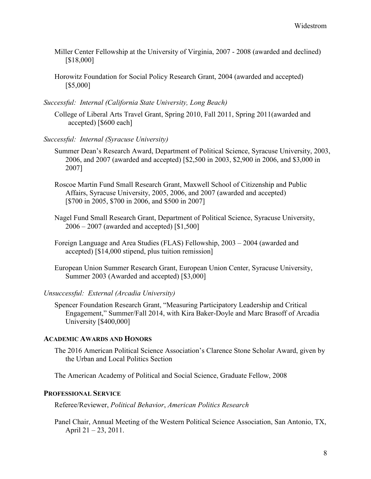- Miller Center Fellowship at the University of Virginia, 2007 2008 (awarded and declined) [\$18,000]
- Horowitz Foundation for Social Policy Research Grant, 2004 (awarded and accepted) [\$5,000]
- *Successful: Internal (California State University, Long Beach)*

College of Liberal Arts Travel Grant, Spring 2010, Fall 2011, Spring 2011(awarded and accepted) [\$600 each]

- *Successful: Internal (Syracuse University)*
	- Summer Dean's Research Award, Department of Political Science, Syracuse University, 2003, 2006, and 2007 (awarded and accepted) [\$2,500 in 2003, \$2,900 in 2006, and \$3,000 in 2007]
	- Roscoe Martin Fund Small Research Grant, Maxwell School of Citizenship and Public Affairs, Syracuse University, 2005, 2006, and 2007 (awarded and accepted) [\$700 in 2005, \$700 in 2006, and \$500 in 2007]
	- Nagel Fund Small Research Grant, Department of Political Science, Syracuse University, 2006 – 2007 (awarded and accepted) [\$1,500]
	- Foreign Language and Area Studies (FLAS) Fellowship, 2003 2004 (awarded and accepted) [\$14,000 stipend, plus tuition remission]
	- European Union Summer Research Grant, European Union Center, Syracuse University, Summer 2003 (Awarded and accepted) [\$3,000]

# *Unsuccessful: External (Arcadia University)*

Spencer Foundation Research Grant, "Measuring Participatory Leadership and Critical Engagement," Summer/Fall 2014, with Kira Baker-Doyle and Marc Brasoff of Arcadia University [\$400,000]

#### **ACADEMIC AWARDS AND HONORS**

The 2016 American Political Science Association's Clarence Stone Scholar Award, given by the Urban and Local Politics Section

The American Academy of Political and Social Science, Graduate Fellow, 2008

## **PROFESSIONAL SERVICE**

Referee/Reviewer, *Political Behavior*, *American Politics Research*

Panel Chair, Annual Meeting of the Western Political Science Association, San Antonio, TX, April 21 – 23, 2011.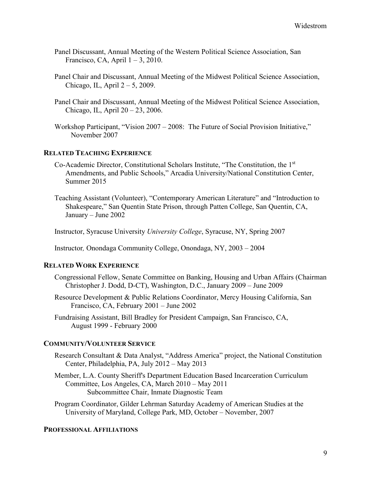- Panel Discussant, Annual Meeting of the Western Political Science Association, San Francisco, CA, April  $1 - 3$ , 2010.
- Panel Chair and Discussant, Annual Meeting of the Midwest Political Science Association, Chicago, IL, April  $2 - 5$ , 2009.
- Panel Chair and Discussant, Annual Meeting of the Midwest Political Science Association, Chicago, IL, April 20 – 23, 2006.
- Workshop Participant, "Vision 2007 2008: The Future of Social Provision Initiative," November 2007

# **RELATED TEACHING EXPERIENCE**

- Co-Academic Director, Constitutional Scholars Institute, "The Constitution, the 1st Amendments, and Public Schools," Arcadia University/National Constitution Center, Summer 2015
- Teaching Assistant (Volunteer), "Contemporary American Literature" and "Introduction to Shakespeare," San Quentin State Prison, through Patten College, San Quentin, CA, January – June 2002

Instructor, Syracuse University *University College*, Syracuse, NY, Spring 2007

Instructor*,* Onondaga Community College, Onondaga, NY, 2003 – 2004

#### **RELATED WORK EXPERIENCE**

- Congressional Fellow, Senate Committee on Banking, Housing and Urban Affairs (Chairman Christopher J. Dodd, D-CT), Washington, D.C., January 2009 – June 2009
- Resource Development & Public Relations Coordinator, Mercy Housing California, San Francisco, CA, February 2001 – June 2002
- Fundraising Assistant, Bill Bradley for President Campaign, San Francisco, CA, August 1999 - February 2000

# **COMMUNITY/VOLUNTEER SERVICE**

- Research Consultant & Data Analyst, "Address America" project, the National Constitution Center, Philadelphia, PA, July 2012 – May 2013
- Member, L.A. County Sheriff's Department Education Based Incarceration Curriculum Committee, Los Angeles, CA, March 2010 – May 2011 Subcommittee Chair, Inmate Diagnostic Team
- Program Coordinator, Gilder Lehrman Saturday Academy of American Studies at the University of Maryland, College Park, MD, October – November, 2007

#### **PROFESSIONAL AFFILIATIONS**